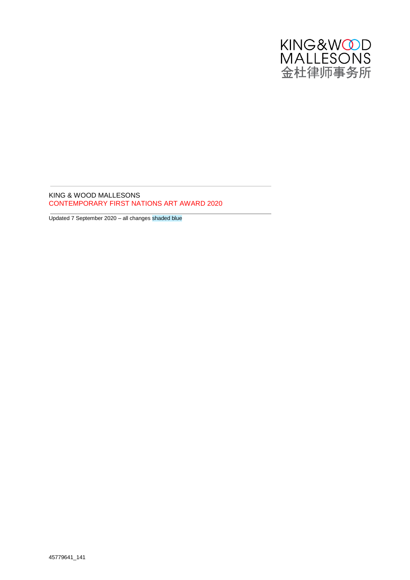

KING & WOOD MALLESONS CONTEMPORARY FIRST NATIONS ART AWARD 2020

Updated 7 September 2020 – all changes shaded blue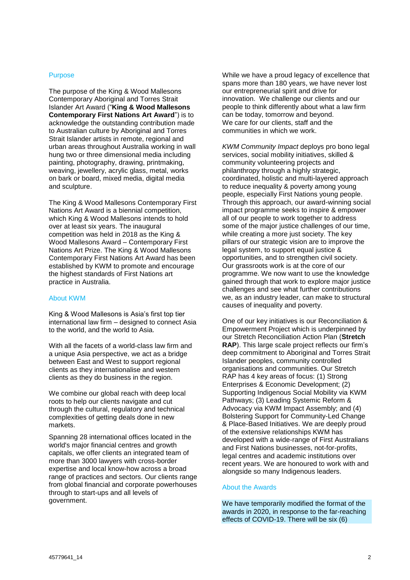### Purpose

The purpose of the King & Wood Mallesons Contemporary Aboriginal and Torres Strait Islander Art Award ("**King & Wood Mallesons Contemporary First Nations Art Award**") is to acknowledge the outstanding contribution made to Australian culture by Aboriginal and Torres Strait Islander artists in remote, regional and urban areas throughout Australia working in wall hung two or three dimensional media including painting, photography, drawing, printmaking, weaving, jewellery, acrylic glass, metal, works on bark or board, mixed media, digital media and sculpture.

The King & Wood Mallesons Contemporary First Nations Art Award is a biennial competition, which King & Wood Mallesons intends to hold over at least six years. The inaugural competition was held in 2018 as the King & Wood Mallesons Award – Contemporary First Nations Art Prize. The King & Wood Mallesons Contemporary First Nations Art Award has been established by KWM to promote and encourage the highest standards of First Nations art practice in Australia.

# About KWM

King & Wood Mallesons is Asia's first top tier international law firm – designed to connect Asia to the world, and the world to Asia.

With all the facets of a world-class law firm and a unique Asia perspective, we act as a bridge between East and West to support regional clients as they internationalise and western clients as they do business in the region.

We combine our global reach with deep local roots to help our clients navigate and cut through the cultural, regulatory and technical complexities of getting deals done in new markets.

Spanning 28 international offices located in the world's major financial centres and growth capitals, we offer clients an integrated team of more than 3000 lawyers with cross-border expertise and local know-how across a broad range of practices and sectors. Our clients range from global financial and corporate powerhouses through to start-ups and all levels of government.

While we have a proud legacy of excellence that spans more than 180 years, we have never lost our entrepreneurial spirit and drive for innovation. We challenge our clients and our people to think differently about what a law firm can be today, tomorrow and beyond. We care for our clients, staff and the communities in which we work.

*KWM Community Impact* deploys pro bono legal services, social mobility initiatives, skilled & community volunteering projects and philanthropy through a highly strategic, coordinated, holistic and multi-layered approach to reduce inequality & poverty among young people, especially First Nations young people. Through this approach, our award-winning social impact programme seeks to inspire & empower all of our people to work together to address some of the major justice challenges of our time. while creating a more just society. The key pillars of our strategic vision are to improve the legal system, to support equal justice & opportunities, and to strengthen civil society. Our grassroots work is at the core of our programme. We now want to use the knowledge gained through that work to explore major justice challenges and see what further contributions we, as an industry leader, can make to structural causes of inequality and poverty.

One of our key initiatives is our Reconciliation & Empowerment Project which is underpinned by our Stretch Reconciliation Action Plan (**Stretch RAP**). This large scale project reflects our firm's deep commitment to Aboriginal and Torres Strait Islander peoples, community controlled organisations and communities. Our Stretch RAP has 4 key areas of focus: (1) Strong Enterprises & Economic Development; (2) Supporting Indigenous Social Mobility via KWM Pathways; (3) Leading Systemic Reform & Advocacy via KWM Impact Assembly; and (4) Bolstering Support for Community-Led Change & Place-Based Initiatives. We are deeply proud of the extensive relationships KWM has developed with a wide-range of First Australians and First Nations businesses, not-for-profits, legal centres and academic institutions over recent years. We are honoured to work with and alongside so many Indigenous leaders.

### About the Awards

We have temporarily modified the format of the awards in 2020, in response to the far-reaching effects of COVID-19. There will be six (6)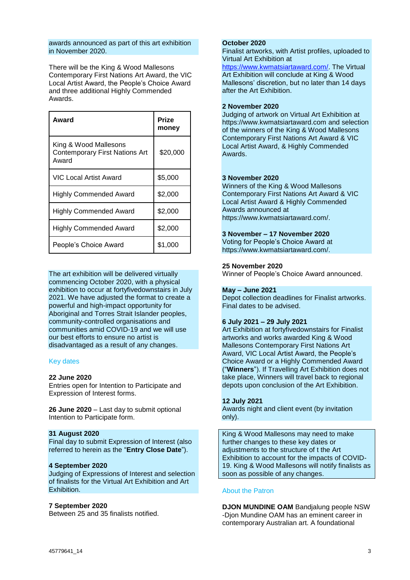#### awards announced as part of this art exhibition in November 2020.

There will be the King & Wood Mallesons Contemporary First Nations Art Award, the VIC Local Artist Award, the People's Choice Award and three additional Highly Commended Awards.

| Award                                                                   | Prize<br>money |
|-------------------------------------------------------------------------|----------------|
| King & Wood Mallesons<br><b>Contemporary First Nations Art</b><br>Award | \$20,000       |
| VIC Local Artist Award                                                  | \$5,000        |
| <b>Highly Commended Award</b>                                           | \$2,000        |
| <b>Highly Commended Award</b>                                           | \$2,000        |
| Highly Commended Award                                                  | \$2,000        |
| People's Choice Award                                                   | \$1,000        |

The art exhibition will be delivered virtually commencing October 2020, with a physical exhibition to occur at fortyfivedownstairs in July 2021. We have adjusted the format to create a powerful and high-impact opportunity for Aboriginal and Torres Strait Islander peoples, community-controlled organisations and communities amid COVID-19 and we will use our best efforts to ensure no artist is disadvantaged as a result of any changes.

### Key dates

#### **22 June 2020**

Entries open for Intention to Participate and Expression of Interest forms.

**26 June 2020** – Last day to submit optional Intention to Participate form.

#### **31 August 2020**

Final day to submit Expression of Interest (also referred to herein as the "**Entry Close Date**").

#### **4 September 2020**

Judging of Expressions of Interest and selection of finalists for the Virtual Art Exhibition and Art Exhibition.

#### **7 September 2020**

Between 25 and 35 finalists notified.

## **October 2020**

Finalist artworks, with Artist profiles, uploaded to Virtual Art Exhibition at

[https://www.kwmatsiartaward.com/.](https://www.kwmatsiartaward.com/) The Virtual Art Exhibition will conclude at King & Wood Mallesons' discretion, but no later than 14 days after the Art Exhibition.

#### **2 November 2020**

Judging of artwork on Virtual Art Exhibition at https://www.kwmatsiartaward.com and selection of the winners of the King & Wood Mallesons Contemporary First Nations Art Award & VIC Local Artist Award, & Highly Commended Awards.

#### **3 November 2020**

Winners of the King & Wood Mallesons Contemporary First Nations Art Award & VIC Local Artist Award & Highly Commended Awards announced at https://www.kwmatsiartaward.com/.

#### **3 November – 17 November 2020**

Voting for People's Choice Award at https://www.kwmatsiartaward.com/.

### **25 November 2020**

Winner of People's Choice Award announced.

#### **May – June 2021**

Depot collection deadlines for Finalist artworks. Final dates to be advised.

## **6 July 2021 – 29 July 2021**

Art Exhibition at fortyfivedownstairs for Finalist artworks and works awarded King & Wood Mallesons Contemporary First Nations Art Award, VIC Local Artist Award, the People's Choice Award or a Highly Commended Award ("**Winners**"). If Travelling Art Exhibition does not take place, Winners will travel back to regional depots upon conclusion of the Art Exhibition.

#### **12 July 2021**

Awards night and client event (by invitation only).

King & Wood Mallesons may need to make further changes to these key dates or adjustments to the structure of t the Art Exhibition to account for the impacts of COVID-19. King & Wood Mallesons will notify finalists as soon as possible of any changes.

#### About the Patron

**DJON MUNDINE OAM** Bandjalung people NSW -Djon Mundine OAM has an eminent career in contemporary Australian art. A foundational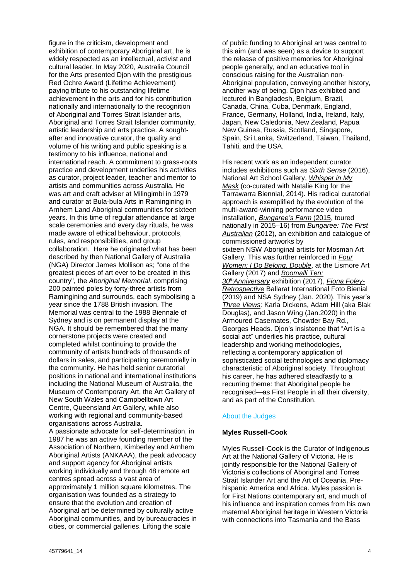figure in the criticism, development and exhibition of contemporary Aboriginal art, he is widely respected as an intellectual, activist and cultural leader. In May 2020, Australia Council for the Arts presented Djon with the prestigious Red Ochre Award (Lifetime Achievement) paying tribute to his outstanding lifetime achievement in the arts and for his contribution nationally and internationally to the recognition of Aboriginal and Torres Strait Islander arts, Aboriginal and Torres Strait Islander community, artistic leadership and arts practice. A soughtafter and innovative curator, the quality and volume of his writing and public speaking is a testimony to his influence, national and international reach. A commitment to grass-roots practice and development underlies his activities as curator, project leader, teacher and mentor to artists and communities across Australia. He was art and craft adviser at Milingimbi in 1979 and curator at Bula-bula Arts in Ramingining in Arnhem Land Aboriginal communities for sixteen years. In this time of regular attendance at large scale ceremonies and every day rituals, he was made aware of ethical behaviour, protocols, rules, and responsibilities, and group collaboration. Here he originated what has been described by then National Gallery of Australia (NGA) Director James Mollison as; "one of the greatest pieces of art ever to be created in this country", the *Aboriginal Memorial*, comprising 200 painted poles by forty-three artists from Ramingining and surrounds, each symbolising a year since the 1788 British invasion. The Memorial was central to the 1988 Biennale of Sydney and is on permanent display at the NGA. It should be remembered that the many cornerstone projects were created and completed whilst continuing to provide the community of artists hundreds of thousands of dollars in sales, and participating ceremonially in the community. He has held senior curatorial positions in national and international institutions including the National Museum of Australia, the Museum of Contemporary Art, the Art Gallery of New South Wales and Campbelltown Art Centre, Queensland Art Gallery, while also working with regional and community-based organisations across Australia. A passionate advocate for self-determination, in 1987 he was an active founding member of the Association of Northern, Kimberley and Arnhem Aboriginal Artists (ANKAAA), the peak advocacy and support agency for Aboriginal artists working individually and through 48 remote art centres spread across a vast area of approximately 1 million square kilometres. The organisation was founded as a strategy to ensure that the evolution and creation of Aboriginal art be determined by culturally active Aboriginal communities, and by bureaucracies in cities, or commercial galleries. Lifting the scale

of public funding to Aboriginal art was central to this aim (and was seen) as a device to support the release of positive memories for Aboriginal people generally, and an educative tool in conscious raising for the Australian non-Aboriginal population, conveying another history, another way of being. Djon has exhibited and lectured in Bangladesh, Belgium, Brazil, Canada, China, Cuba, Denmark, England, France, Germany, Holland, India, Ireland, Italy, Japan, New Caledonia, New Zealand, Papua New Guinea, Russia, Scotland, Singapore, Spain, Sri Lanka, Switzerland, Taiwan, Thailand, Tahiti, and the USA.

His recent work as an independent curator includes exhibitions such as *Sixth Sense* (2016), National Art School Gallery, *Whisper in My Mask* (co-curated with Natalie King for the Tarrawarra Biennial, 2014). His radical curatorial approach is exemplified by the evolution of the multi-award-winning performance video installation, *Bungaree's Farm* (2015, toured nationally in 2015–16) from *Bungaree: The First Australian* (2012), an exhibition and catalogue of commissioned artworks by sixteen NSW Aboriginal artists for Mosman Art Gallery. This was further reinforced in *Four Women: I Do Belong, Double*, at the Lismore Art Gallery (2017) and *Boomalli Ten: 30thAnniversary* exhibition (2017), *Fiona Foley-Retrospective* Ballarat International Foto Bienial (2019) and NSA Sydney (Jan. 2020). This year's *Three Views;* Karla Dickens, Adam Hill (aka Blak Douglas), and Jason Wing (Jan.2020) in the Armoured Casemates, Chowder Bay Rd., Georges Heads. Djon's insistence that "Art is a social act" underlies his practice, cultural leadership and working methodologies, reflecting a contemporary application of sophisticated social technologies and diplomacy characteristic of Aboriginal society. Throughout his career, he has adhered steadfastly to a recurring theme: that Aboriginal people be recognised—as First People in all their diversity, and as part of the Constitution.

# About the Judges

#### **Myles Russell-Cook**

Myles Russell-Cook is the Curator of Indigenous Art at the National Gallery of Victoria. He is jointly responsible for the National Gallery of Victoria's collections of Aboriginal and Torres Strait Islander Art and the Art of Oceania, Prehispanic America and Africa. Myles passion is for First Nations contemporary art, and much of his influence and inspiration comes from his own maternal Aboriginal heritage in Western Victoria with connections into Tasmania and the Bass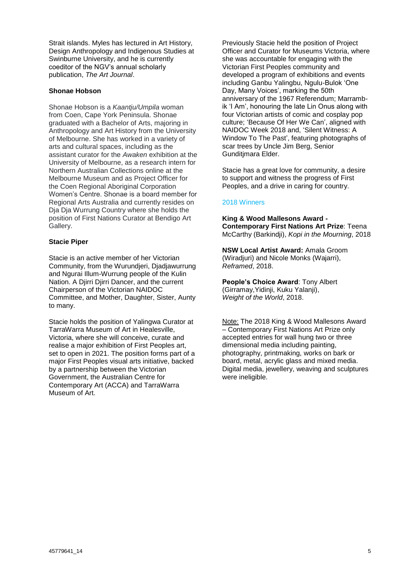Strait islands. Myles has lectured in Art History, Design Anthropology and Indigenous Studies at Swinburne University, and he is currently coeditor of the NGV's annual scholarly publication, *The Art Journal*.

### **Shonae Hobson**

Shonae Hobson is a *Kaantju/Umpila* woman from Coen, Cape York Peninsula. Shonae graduated with a Bachelor of Arts, majoring in Anthropology and Art History from the University of Melbourne. She has worked in a variety of arts and cultural spaces, including as the assistant curator for the *Awaken* exhibition at the University of Melbourne, as a research intern for Northern Australian Collections online at the Melbourne Museum and as Project Officer for the Coen Regional Aboriginal Corporation Women's Centre. Shonae is a board member for Regional Arts Australia and currently resides on Dja Dja Wurrung Country where she holds the position of First Nations Curator at Bendigo Art Gallery.

### **Stacie Piper**

Stacie is an active member of her Victorian Community, from the Wurundjeri, Djadjawurrung and Ngurai Illum-Wurrung people of the Kulin Nation. A Djirri Djirri Dancer, and the current Chairperson of the Victorian NAIDOC Committee, and Mother, Daughter, Sister, Aunty to many.

Stacie holds the position of Yalingwa Curator at TarraWarra Museum of Art in Healesville, Victoria, where she will conceive, curate and realise a major exhibition of First Peoples art, set to open in 2021. The position forms part of a major First Peoples visual arts initiative, backed by a partnership between the Victorian Government, the Australian Centre for Contemporary Art (ACCA) and TarraWarra Museum of Art.

Previously Stacie held the position of Project Officer and Curator for Museums Victoria, where she was accountable for engaging with the Victorian First Peoples community and developed a program of exhibitions and events including Ganbu Yalingbu, Ngulu-Bulok 'One Day, Many Voices', marking the 50th anniversary of the 1967 Referendum; Marrambik 'I Am', honouring the late Lin Onus along with four Victorian artists of comic and cosplay pop culture; 'Because Of Her We Can', aligned with NAIDOC Week 2018 and, 'Silent Witness: A Window To The Past', featuring photographs of scar trees by Uncle Jim Berg, Senior Gunditjmara Elder.

Stacie has a great love for community, a desire to support and witness the progress of First Peoples, and a drive in caring for country.

### 2018 Winners

**King & Wood Mallesons Award - Contemporary First Nations Art Prize**: Teena McCarthy (Barkindji), *Kopi in the Mourning*, 2018

**NSW Local Artist Award:** Amala Groom (Wiradjuri) and Nicole Monks (Wajarri), *Reframed*, 2018.

**People's Choice Award**: Tony Albert (Girramay,Yidinji, Kuku Yalanji), *Weight of the World*, 2018.

Note: The 2018 King & Wood Mallesons Award – Contemporary First Nations Art Prize only accepted entries for wall hung two or three dimensional media including painting, photography, printmaking, works on bark or board, metal, acrylic glass and mixed media. Digital media, jewellery, weaving and sculptures were ineligible.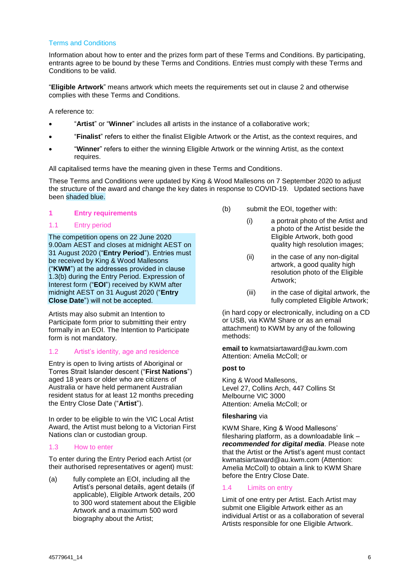## Terms and Conditions

Information about how to enter and the prizes form part of these Terms and Conditions. By participating, entrants agree to be bound by these Terms and Conditions. Entries must comply with these Terms and Conditions to be valid.

"**Eligible Artwork**" means artwork which meets the requirements set out in clause [2](#page-7-0) and otherwise complies with these Terms and Conditions.

A reference to:

- "**Artist**" or "**Winner**" includes all artists in the instance of a collaborative work;
- "**Finalist**" refers to either the finalist Eligible Artwork or the Artist, as the context requires, and
- "**Winner**" refers to either the winning Eligible Artwork or the winning Artist, as the context requires.

All capitalised terms have the meaning given in these Terms and Conditions.

These Terms and Conditions were updated by King & Wood Mallesons on 7 September 2020 to adjust the structure of the award and change the key dates in response to COVID-19. Updated sections have been shaded blue.

#### **1 Entry requirements**

### 1.1 Entry period

The competition opens on 22 June 2020 9.00am AEST and closes at midnight AEST on 31 August 2020 ("**Entry Period**"). Entries must be received by King & Wood Mallesons ("**KWM**") at the addresses provided in clause [1.3\(b\)](#page-5-0) during the Entry Period. Expression of Interest form ("**EOI**") received by KWM after midnight AEST on 31 August 2020 ("**Entry Close Date**") will not be accepted.

Artists may also submit an Intention to Participate form prior to submitting their entry formally in an EOI. The Intention to Participate form is not mandatory.

# <span id="page-5-2"></span>1.2 Artist's identity, age and residence

Entry is open to living artists of Aboriginal or Torres Strait Islander descent ("**First Nations**") aged 18 years or older who are citizens of Australia or have held permanent Australian resident status for at least 12 months preceding the Entry Close Date ("**Artist**").

In order to be eligible to win the VIC Local Artist Award, the Artist must belong to a Victorian First Nations clan or custodian group.

# <span id="page-5-1"></span>1.3 How to enter

To enter during the Entry Period each Artist (or their authorised representatives or agent) must:

(a) fully complete an EOI, including all the Artist's personal details, agent details (if applicable), Eligible Artwork details, 200 to 300 word statement about the Eligible Artwork and a maximum 500 word biography about the Artist;

- <span id="page-5-0"></span>(b) submit the EOI, together with:
	- (i) a portrait photo of the Artist and a photo of the Artist beside the Eligible Artwork, both good quality high resolution images;
	- (ii) in the case of any non-digital artwork, a good quality high resolution photo of the Eligible Artwork;
	- (iii) in the case of digital artwork, the fully completed Eligible Artwork;

(in hard copy or electronically, including on a CD or USB, via KWM Share or as an email attachment) to KWM by any of the following methods:

**email to** kwmatsiartaward@au.kwm.com Attention: Amelia McColl; or

# **post to**

King & Wood Mallesons, Level 27, Collins Arch, 447 Collins St Melbourne VIC 3000 Attention: Amelia McColl; or

#### **filesharing** via

KWM Share, King & Wood Mallesons' filesharing platform, as a downloadable link – *recommended for digital media*. Please note that the Artist or the Artist's agent must contact kwmatsiartaward@au.kwm.com (Attention: Amelia McColl) to obtain a link to KWM Share before the Entry Close Date.

# 1.4 Limits on entry

Limit of one entry per Artist. Each Artist may submit one Eligible Artwork either as an individual Artist or as a collaboration of several Artists responsible for one Eligible Artwork.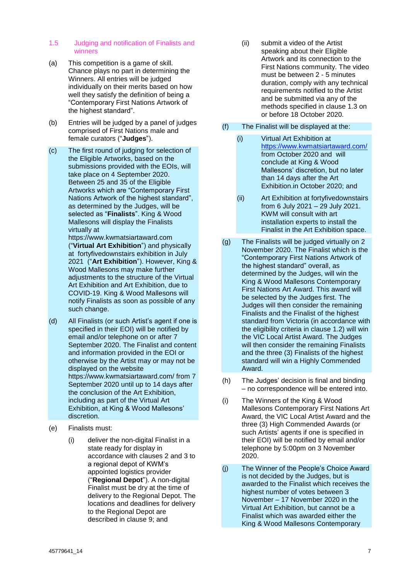### 1.5 Judging and notification of Finalists and winners

- (a) This competition is a game of skill. Chance plays no part in determining the Winners. All entries will be judged individually on their merits based on how well they satisfy the definition of being a "Contemporary First Nations Artwork of the highest standard".
- (b) Entries will be judged by a panel of judges comprised of First Nations male and female curators ("**Judges**").
- (c) The first round of judging for selection of the Eligible Artworks, based on the submissions provided with the EOIs, will take place on 4 September 2020. Between 25 and 35 of the Eligible Artworks which are "Contemporary First Nations Artwork of the highest standard", as determined by the Judges, will be selected as "**Finalists**". King & Wood Mallesons will display the Finalists virtually at

https://www.kwmatsiartaward.com ("**Virtual Art Exhibition**") and physically at fortyfivedownstairs exhibition in July 2021 ("**Art Exhibition**"). However, King & Wood Mallesons may make further adjustments to the structure of the Virtual Art Exhibition and Art Exhibition, due to COVID-19. King & Wood Mallesons will notify Finalists as soon as possible of any such change.

- (d) All Finalists (or such Artist's agent if one is specified in their EOI) will be notified by email and/or telephone on or after 7 September 2020. The Finalist and content and information provided in the EOI or otherwise by the Artist may or may not be displayed on the website https://www.kwmatsiartaward.com/ from 7 September 2020 until up to 14 days after the conclusion of the Art Exhibition, including as part of the Virtual Art Exhibition, at King & Wood Mallesons' discretion.
- (e) Finalists must:
	- (i) deliver the non-digital Finalist in a state ready for display in accordance with clauses [2](#page-7-0) and [3](#page-9-0) to a regional depot of KWM's appointed logistics provider ("**Regional Depot**"). A non-digital Finalist must be dry at the time of delivery to the Regional Depot. The locations and deadlines for delivery to the Regional Depot are described in clause [9;](#page-14-0) and

(ii) submit a video of the Artist speaking about their Eligible Artwork and its connection to the First Nations community. The video must be between 2 - 5 minutes duration, comply with any technical requirements notified to the Artist and be submitted via any of the methods specified in clause [1.3](#page-5-1) on or before 18 October 2020.

# (f) The Finalist will be displayed at the:

- (i) Virtual Art Exhibition at <https://www.kwmatsiartaward.com/> from October 2020 and will conclude at King & Wood Mallesons' discretion, but no later than 14 days after the Art Exhibition.in October 2020; and
- (ii) Art Exhibition at fortyfivedownstairs from 6 July 2021 – 29 July 2021. KWM will consult with art installation experts to install the Finalist in the Art Exhibition space.
- (g) The Finalists will be judged virtually on 2 November 2020. The Finalist which is the "Contemporary First Nations Artwork of the highest standard" overall, as determined by the Judges, will win the King & Wood Mallesons Contemporary First Nations Art Award. This award will be selected by the Judges first. The Judges will then consider the remaining Finalists and the Finalist of the highest standard from Victoria (in accordance with the eligibility criteria in clause [1.2\)](#page-5-2) will win the VIC Local Artist Award. The Judges will then consider the remaining Finalists and the three (3) Finalists of the highest standard will win a Highly Commended Award.
- (h) The Judges' decision is final and binding – no correspondence will be entered into.
- (i) The Winners of the King & Wood Mallesons Contemporary First Nations Art Award, the VIC Local Artist Award and the three (3) High Commended Awards (or such Artists' agents if one is specified in their EOI) will be notified by email and/or telephone by 5:00pm on 3 November 2020.
- (j) The Winner of the People's Choice Award is not decided by the Judges, but is awarded to the Finalist which receives the highest number of votes between 3 November – 17 November 2020 in the Virtual Art Exhibition, but cannot be a Finalist which was awarded either the King & Wood Mallesons Contemporary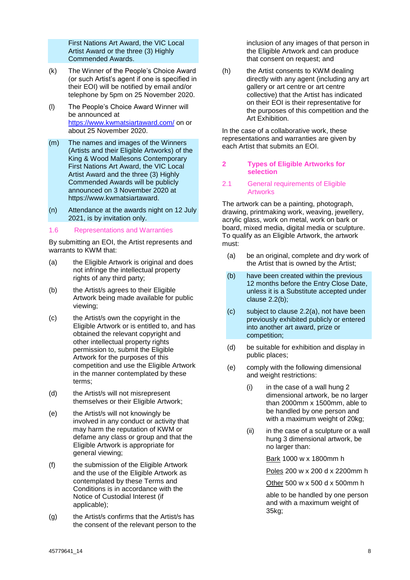First Nations Art Award, the VIC Local Artist Award or the three (3) Highly Commended Awards.

- (k) The Winner of the People's Choice Award (or such Artist's agent if one is specified in their EOI) will be notified by email and/or telephone by 5pm on 25 November 2020.
- (l) The People's Choice Award Winner will be announced at [https://www.kwmatsiartaward.](https://www.kwmatsiartaward/)com/ on or about 25 November 2020.
- (m) The names and images of the Winners (Artists and their Eligible Artworks) of the King & Wood Mallesons Contemporary First Nations Art Award, the VIC Local Artist Award and the three (3) Highly Commended Awards will be publicly announced on 3 November 2020 at [https://www.kwmatsiartaward.](https://www.kwmatsiartaward/)
- (n) Attendance at the awards night on 12 July 2021, is by invitation only.
- <span id="page-7-2"></span>1.6 Representations and Warranties

By submitting an EOI, the Artist represents and warrants to KWM that:

- (a) the Eligible Artwork is original and does not infringe the intellectual property rights of any third party;
- (b) the Artist/s agrees to their Eligible Artwork being made available for public viewing;
- (c) the Artist/s own the copyright in the Eligible Artwork or is entitled to, and has obtained the relevant copyright and other intellectual property rights permission to, submit the Eligible Artwork for the purposes of this competition and use the Eligible Artwork in the manner contemplated by these terms;
- (d) the Artist/s will not misrepresent themselves or their Eligible Artwork;
- (e) the Artist/s will not knowingly be involved in any conduct or activity that may harm the reputation of KWM or defame any class or group and that the Eligible Artwork is appropriate for general viewing;
- (f) the submission of the Eligible Artwork and the use of the Eligible Artwork as contemplated by these Terms and Conditions is in accordance with the Notice of Custodial Interest (if applicable);
- (g) the Artist/s confirms that the Artist/s has the consent of the relevant person to the

inclusion of any images of that person in the Eligible Artwork and can produce that consent on request; and

(h) the Artist consents to KWM dealing directly with any agent (including any art gallery or art centre or art centre collective) that the Artist has indicated on their EOI is their representative for the purposes of this competition and the Art Exhibition.

In the case of a collaborative work, these representations and warranties are given by each Artist that submits an EOI.

# <span id="page-7-0"></span>**2 Types of Eligible Artworks for selection**

### <span id="page-7-1"></span>2.1 General requirements of Eligible **Artworks**

The artwork can be a painting, photograph, drawing, printmaking work, weaving, jewellery, acrylic glass, work on metal, work on bark or board, mixed media, digital media or sculpture. To qualify as an Eligible Artwork, the artwork must:

- (a) be an original, complete and dry work of the Artist that is owned by the Artist;
- (b) have been created within the previous 12 months before the Entry Close Date, unless it is a Substitute accepted under clause [2.2\(b\);](#page-8-0)
- (c) subject to clause [2.2\(a\),](#page-8-1) not have been previously exhibited publicly or entered into another art award, prize or competition;
- (d) be suitable for exhibition and display in public places;
- (e) comply with the following dimensional and weight restrictions:
	- (i) in the case of a wall hung 2 dimensional artwork, be no larger than 2000mm x 1500mm, able to be handled by one person and with a maximum weight of 20kg;
	- (ii) in the case of a sculpture or a wall hung 3 dimensional artwork, be no larger than:

Bark 1000 w x 1800mm h

Poles 200 w x 200 d x 2200mm h

Other 500 w x 500 d x 500mm h

able to be handled by one person and with a maximum weight of 35kg;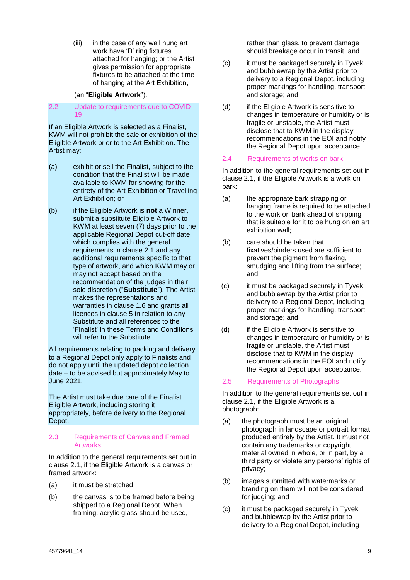(iii) in the case of any wall hung art work have 'D' ring fixtures attached for hanging; or the Artist gives permission for appropriate fixtures to be attached at the time of hanging at the Art Exhibition,

## (an "**Eligible Artwork**").

### <span id="page-8-2"></span>2.2 Update to requirements due to COVID-19

If an Eligible Artwork is selected as a Finalist, KWM will not prohibit the sale or exhibition of the Eligible Artwork prior to the Art Exhibition. The Artist may:

- <span id="page-8-1"></span>(a) exhibit or sell the Finalist, subject to the condition that the Finalist will be made available to KWM for showing for the entirety of the Art Exhibition or Travelling Art Exhibition; or
- <span id="page-8-0"></span>(b) if the Eligible Artwork is **not** a Winner, submit a substitute Eligible Artwork to KWM at least seven (7) days prior to the applicable Regional Depot cut-off date, which complies with the general requirements in clause [2.1](#page-7-1) and any additional requirements specific to that type of artwork, and which KWM may or may not accept based on the recommendation of the judges in their sole discretion ("**Substitute**"). The Artist makes the representations and warranties in clause [1.6](#page-7-2) and grants all licences in clause [5](#page-12-0) in relation to any Substitute and all references to the 'Finalist' in these Terms and Conditions will refer to the Substitute.

All requirements relating to packing and delivery to a Regional Depot only apply to Finalists and do not apply until the updated depot collection date – to be advised but approximately May to June 2021.

The Artist must take due care of the Finalist Eligible Artwork, including storing it appropriately, before delivery to the Regional Depot.

#### 2.3 Requirements of Canvas and Framed Artworks

In addition to the general requirements set out in clause [2.1,](#page-7-1) if the Eligible Artwork is a canvas or framed artwork:

- (a) it must be stretched;
- (b) the canvas is to be framed before being shipped to a Regional Depot. When framing, acrylic glass should be used,

rather than glass, to prevent damage should breakage occur in transit; and

- (c) it must be packaged securely in Tyvek and bubblewrap by the Artist prior to delivery to a Regional Depot, including proper markings for handling, transport and storage; and
- (d) if the Eligible Artwork is sensitive to changes in temperature or humidity or is fragile or unstable, the Artist must disclose that to KWM in the display recommendations in the EOI and notify the Regional Depot upon acceptance.

### 2.4 Requirements of works on bark

In addition to the general requirements set out in clause [2.1,](#page-7-1) if the Eligible Artwork is a work on bark:

- (a) the appropriate bark strapping or hanging frame is required to be attached to the work on bark ahead of shipping that is suitable for it to be hung on an art exhibition wall;
- (b) care should be taken that fixatives/binders used are sufficient to prevent the pigment from flaking, smudging and lifting from the surface; and
- (c) it must be packaged securely in Tyvek and bubblewrap by the Artist prior to delivery to a Regional Depot, including proper markings for handling, transport and storage; and
- (d) if the Eligible Artwork is sensitive to changes in temperature or humidity or is fragile or unstable, the Artist must disclose that to KWM in the display recommendations in the EOI and notify the Regional Depot upon acceptance.

# 2.5 Requirements of Photographs

In addition to the general requirements set out in clause [2.1,](#page-7-1) if the Eligible Artwork is a photograph:

- (a) the photograph must be an original photograph in landscape or portrait format produced entirely by the Artist. It must not contain any trademarks or copyright material owned in whole, or in part, by a third party or violate any persons' rights of privacy;
- (b) images submitted with watermarks or branding on them will not be considered for judging; and
- (c) it must be packaged securely in Tyvek and bubblewrap by the Artist prior to delivery to a Regional Depot, including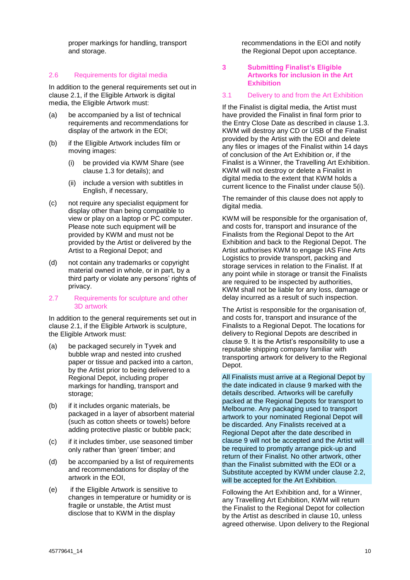proper markings for handling, transport and storage.

### 2.6 Requirements for digital media

In addition to the general requirements set out in clause [2.1,](#page-7-1) if the Eligible Artwork is digital media, the Eligible Artwork must:

- (a) be accompanied by a list of technical requirements and recommendations for display of the artwork in the EOI;
- (b) if the Eligible Artwork includes film or moving images:
	- (i) be provided via KWM Share (see clause [1.3](#page-5-1) for details); and
	- (ii) include a version with subtitles in English, if necessary,
- (c) not require any specialist equipment for display other than being compatible to view or play on a laptop or PC computer. Please note such equipment will be provided by KWM and must not be provided by the Artist or delivered by the Artist to a Regional Depot; and
- (d) not contain any trademarks or copyright material owned in whole, or in part, by a third party or violate any persons' rights of privacy.
- 2.7 Requirements for sculpture and other 3D artwork

In addition to the general requirements set out in clause [2.1,](#page-7-1) if the Eligible Artwork is sculpture, the Eligible Artwork must:

- (a) be packaged securely in Tyvek and bubble wrap and nested into crushed paper or tissue and packed into a carton, by the Artist prior to being delivered to a Regional Depot, including proper markings for handling, transport and storage;
- (b) if it includes organic materials, be packaged in a layer of absorbent material (such as cotton sheets or towels) before adding protective plastic or bubble pack;
- (c) if it includes timber, use seasoned timber only rather than 'green' timber; and
- (d) be accompanied by a list of requirements and recommendations for display of the artwork in the EOI,
- (e) if the Eligible Artwork is sensitive to changes in temperature or humidity or is fragile or unstable, the Artist must disclose that to KWM in the display

recommendations in the EOI and notify the Regional Depot upon acceptance.

### <span id="page-9-0"></span>**3 Submitting Finalist's Eligible Artworks for inclusion in the Art Exhibition**

#### <span id="page-9-1"></span>3.1 Delivery to and from the Art Exhibition

If the Finalist is digital media, the Artist must have provided the Finalist in final form prior to the Entry Close Date as described in clause [1.3.](#page-5-1) KWM will destroy any CD or USB of the Finalist provided by the Artist with the EOI and delete any files or images of the Finalist within 14 days of conclusion of the Art Exhibition or, if the Finalist is a Winner, the Travelling Art Exhibition. KWM will not destroy or delete a Finalist in digital media to the extent that KWM holds a current licence to the Finalist under clause [5\(i\).](#page-13-0)

The remainder of this clause does not apply to digital media.

KWM will be responsible for the organisation of. and costs for, transport and insurance of the Finalists from the Regional Depot to the Art Exhibition and back to the Regional Depot. The Artist authorises KWM to engage IAS Fine Arts Logistics to provide transport, packing and storage services in relation to the Finalist. If at any point while in storage or transit the Finalists are required to be inspected by authorities, KWM shall not be liable for any loss, damage or delay incurred as a result of such inspection.

The Artist is responsible for the organisation of, and costs for, transport and insurance of the Finalists to a Regional Depot. The locations for delivery to Regional Depots are described in clause [9.](#page-14-0) It is the Artist's responsibility to use a reputable shipping company familiar with transporting artwork for delivery to the Regional Depot.

All Finalists must arrive at a Regional Depot by the date indicated in clause [9](#page-14-0) marked with the details described. Artworks will be carefully packed at the Regional Depots for transport to Melbourne. Any packaging used to transport artwork to your nominated Regional Depot will be discarded. Any Finalists received at a Regional Depot after the date described in clause [9](#page-14-0) will not be accepted and the Artist will be required to promptly arrange pick-up and return of their Finalist. No other artwork, other than the Finalist submitted with the EOI or a Substitute accepted by KWM under clause [2.2,](#page-8-2) will be accepted for the Art Exhibition.

Following the Art Exhibition and, for a Winner, any Travelling Art Exhibition, KWM will return the Finalist to the Regional Depot for collection by the Artist as described in clause 10, unless agreed otherwise. Upon delivery to the Regional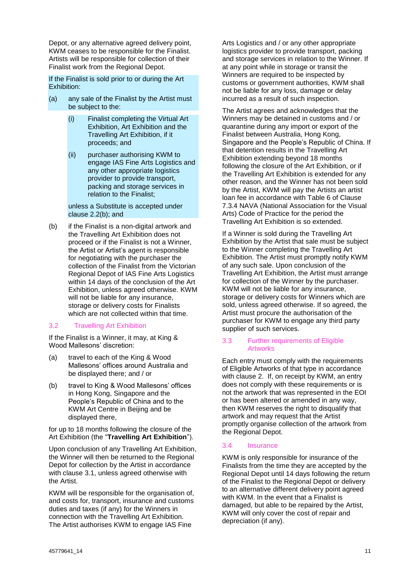Depot, or any alternative agreed delivery point, KWM ceases to be responsible for the Finalist. Artists will be responsible for collection of their Finalist work from the Regional Depot.

If the Finalist is sold prior to or during the Art Exhibition:

- (a) any sale of the Finalist by the Artist must be subject to the:
	- (i) Finalist completing the Virtual Art Exhibition, Art Exhibition and the Travelling Art Exhibition, if it proceeds; and
	- (ii) purchaser authorising KWM to engage IAS Fine Arts Logistics and any other appropriate logistics provider to provide transport, packing and storage services in relation to the Finalist;

unless a Substitute is accepted under clause [2.2\(b\);](#page-8-0) and

(b) if the Finalist is a non-digital artwork and the Travelling Art Exhibition does not proceed or if the Finalist is not a Winner, the Artist or Artist's agent is responsible for negotiating with the purchaser the collection of the Finalist from the Victorian Regional Depot of IAS Fine Arts Logistics within 14 days of the conclusion of the Art Exhibition, unless agreed otherwise. KWM will not be liable for any insurance, storage or delivery costs for Finalists which are not collected within that time.

# <span id="page-10-0"></span>3.2 Travelling Art Exhibition

If the Finalist is a Winner, it may, at King & Wood Mallesons' discretion:

- (a) travel to each of the King & Wood Mallesons' offices around Australia and be displayed there; and / or
- (b) travel to King & Wood Mallesons' offices in Hong Kong, Singapore and the People's Republic of China and to the KWM Art Centre in Beijing and be displayed there,

for up to 18 months following the closure of the Art Exhibition (the "**Travelling Art Exhibition**").

Upon conclusion of any Travelling Art Exhibition, the Winner will then be returned to the Regional Depot for collection by the Artist in accordance with clause [3.1,](#page-9-1) unless agreed otherwise with the Artist.

KWM will be responsible for the organisation of, and costs for, transport, insurance and customs duties and taxes (if any) for the Winners in connection with the Travelling Art Exhibition. The Artist authorises KWM to engage IAS Fine

Arts Logistics and / or any other appropriate logistics provider to provide transport, packing and storage services in relation to the Winner. If at any point while in storage or transit the Winners are required to be inspected by customs or government authorities, KWM shall not be liable for any loss, damage or delay incurred as a result of such inspection.

The Artist agrees and acknowledges that the Winners may be detained in customs and / or quarantine during any import or export of the Finalist between Australia, Hong Kong, Singapore and the People's Republic of China. If that detention results in the Travelling Art Exhibition extending beyond 18 months following the closure of the Art Exhibition, or if the Travelling Art Exhibition is extended for any other reason, and the Winner has not been sold by the Artist, KWM will pay the Artists an artist loan fee in accordance with Table 6 of Clause 7.3.4 NAVA (National Association for the Visual Arts) Code of Practice for the period the Travelling Art Exhibition is so extended.

If a Winner is sold during the Travelling Art Exhibition by the Artist that sale must be subject to the Winner completing the Travelling Art Exhibition. The Artist must promptly notify KWM of any such sale. Upon conclusion of the Travelling Art Exhibition, the Artist must arrange for collection of the Winner by the purchaser. KWM will not be liable for any insurance, storage or delivery costs for Winners which are sold, unless agreed otherwise. If so agreed, the Artist must procure the authorisation of the purchaser for KWM to engage any third party supplier of such services.

### 3.3 Further requirements of Eligible **Artworks**

Each entry must comply with the requirements of Eligible Artworks of that type in accordance with clause [2.](#page-7-0) If, on receipt by KWM, an entry does not comply with these requirements or is not the artwork that was represented in the EOI or has been altered or amended in any way, then KWM reserves the right to disqualify that artwork and may request that the Artist promptly organise collection of the artwork from the Regional Depot.

# 3.4 Insurance

KWM is only responsible for insurance of the Finalists from the time they are accepted by the Regional Depot until 14 days following the return of the Finalist to the Regional Depot or delivery to an alternative different delivery point agreed with KWM. In the event that a Finalist is damaged, but able to be repaired by the Artist, KWM will only cover the cost of repair and depreciation (if any).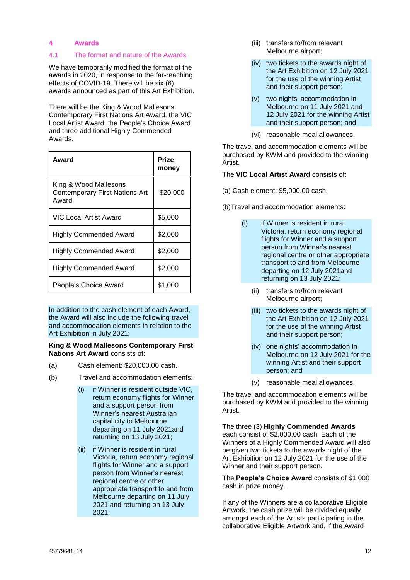# **4 Awards**

### 4.1 The format and nature of the Awards

We have temporarily modified the format of the awards in 2020, in response to the far-reaching effects of COVID-19. There will be six (6) awards announced as part of this Art Exhibition.

There will be the King & Wood Mallesons Contemporary First Nations Art Award, the VIC Local Artist Award, the People's Choice Award and three additional Highly Commended Awards.

| Award                                                                   | Prize<br>money |
|-------------------------------------------------------------------------|----------------|
| King & Wood Mallesons<br><b>Contemporary First Nations Art</b><br>Award | \$20,000       |
| VIC Local Artist Award                                                  | \$5,000        |
| <b>Highly Commended Award</b>                                           | \$2,000        |
| <b>Highly Commended Award</b>                                           | \$2,000        |
| <b>Highly Commended Award</b>                                           | \$2,000        |
| People's Choice Award                                                   | \$1,000        |

In addition to the cash element of each Award, the Award will also include the following travel and accommodation elements in relation to the Art Exhibition in July 2021:

#### **King & Wood Mallesons Contemporary First Nations Art Award** consists of:

- (a) Cash element: \$20,000.00 cash.
- (b) Travel and accommodation elements:
	- (i) if Winner is resident outside VIC, return economy flights for Winner and a support person from Winner's nearest Australian capital city to Melbourne departing on 11 July 2021and returning on 13 July 2021;
	- (ii) if Winner is resident in rural Victoria, return economy regional flights for Winner and a support person from Winner's nearest regional centre or other appropriate transport to and from Melbourne departing on 11 July 2021 and returning on 13 July 2021;
- (iii) transfers to/from relevant Melbourne airport;
- (iv) two tickets to the awards night of the Art Exhibition on 12 July 2021 for the use of the winning Artist and their support person;
- (v) two nights' accommodation in Melbourne on 11 July 2021 and 12 July 2021 for the winning Artist and their support person; and
- (vi) reasonable meal allowances.

The travel and accommodation elements will be purchased by KWM and provided to the winning Artist.

The **VIC Local Artist Award** consists of:

- (a) Cash element: \$5,000.00 cash.
- (b)Travel and accommodation elements:
	- (i) if Winner is resident in rural Victoria, return economy regional flights for Winner and a support person from Winner's nearest regional centre or other appropriate transport to and from Melbourne departing on 12 July 2021and returning on 13 July 2021;
		- (ii) transfers to/from relevant Melbourne airport;
		- (iii) two tickets to the awards night of the Art Exhibition on 12 July 2021 for the use of the winning Artist and their support person;
		- (iv) one nights' accommodation in Melbourne on 12 July 2021 for the winning Artist and their support person; and
		- (v) reasonable meal allowances.

The travel and accommodation elements will be purchased by KWM and provided to the winning Artist.

The three (3) **Highly Commended Awards** each consist of \$2,000.00 cash. Each of the Winners of a Highly Commended Award will also be given two tickets to the awards night of the Art Exhibition on 12 July 2021 for the use of the Winner and their support person.

The **People's Choice Award** consists of \$1,000 cash in prize money.

If any of the Winners are a collaborative Eligible Artwork, the cash prize will be divided equally amongst each of the Artists participating in the collaborative Eligible Artwork and, if the Award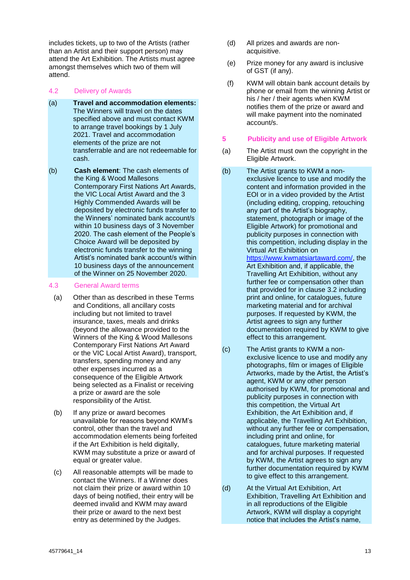includes tickets, up to two of the Artists (rather than an Artist and their support person) may attend the Art Exhibition. The Artists must agree amongst themselves which two of them will attend.

- 4.2 Delivery of Awards
- (a) **Travel and accommodation elements:**  The Winners will travel on the dates specified above and must contact KWM to arrange travel bookings by 1 July 2021. Travel and accommodation elements of the prize are not transferrable and are not redeemable for cash.
- (b) **Cash element**: The cash elements of the King & Wood Mallesons Contemporary First Nations Art Awards, the VIC Local Artist Award and the 3 Highly Commended Awards will be deposited by electronic funds transfer to the Winners' nominated bank account/s within 10 business days of 3 November 2020. The cash element of the People's Choice Award will be deposited by electronic funds transfer to the winning Artist's nominated bank account/s within 10 business days of the announcement of the Winner on 25 November 2020.

# 4.3 General Award terms

- (a) Other than as described in these Terms and Conditions, all ancillary costs including but not limited to travel insurance, taxes, meals and drinks (beyond the allowance provided to the Winners of the King & Wood Mallesons Contemporary First Nations Art Award or the VIC Local Artist Award), transport, transfers, spending money and any other expenses incurred as a consequence of the Eligible Artwork being selected as a Finalist or receiving a prize or award are the sole responsibility of the Artist.
- (b) If any prize or award becomes unavailable for reasons beyond KWM's control, other than the travel and accommodation elements being forfeited if the Art Exhibition is held digitally, KWM may substitute a prize or award of equal or greater value.
- (c) All reasonable attempts will be made to contact the Winners. If a Winner does not claim their prize or award within 10 days of being notified, their entry will be deemed invalid and KWM may award their prize or award to the next best entry as determined by the Judges.
- (d) All prizes and awards are nonacquisitive.
- (e) Prize money for any award is inclusive of GST (if any).
- (f) KWM will obtain bank account details by phone or email from the winning Artist or his / her / their agents when KWM notifies them of the prize or award and will make payment into the nominated account/s.

## <span id="page-12-0"></span>**5 Publicity and use of Eligible Artwork**

- (a) The Artist must own the copyright in the Eligible Artwork.
- (b) The Artist grants to KWM a nonexclusive licence to use and modify the content and information provided in the EOI or in a video provided by the Artist (including editing, cropping, retouching any part of the Artist's biography, statement, photograph or image of the Eligible Artwork) for promotional and publicity purposes in connection with this competition, including display in the Virtual Art Exhibition on [https://www.kwmatsiartaward.com/,](https://www.kwmatsiartaward.com/) the Art Exhibition and, if applicable, the Travelling Art Exhibition, without any further fee or compensation other than that provided for in clause [3.2](#page-10-0) including print and online, for catalogues, future marketing material and for archival purposes. If requested by KWM, the Artist agrees to sign any further documentation required by KWM to give effect to this arrangement.
- (c) The Artist grants to KWM a nonexclusive licence to use and modify any photographs, film or images of Eligible Artworks, made by the Artist, the Artist's agent, KWM or any other person authorised by KWM, for promotional and publicity purposes in connection with this competition, the Virtual Art Exhibition, the Art Exhibition and, if applicable, the Travelling Art Exhibition, without any further fee or compensation, including print and online, for catalogues, future marketing material and for archival purposes. If requested by KWM, the Artist agrees to sign any further documentation required by KWM to give effect to this arrangement.
- (d) At the Virtual Art Exhibition, Art Exhibition, Travelling Art Exhibition and in all reproductions of the Eligible Artwork, KWM will display a copyright notice that includes the Artist's name,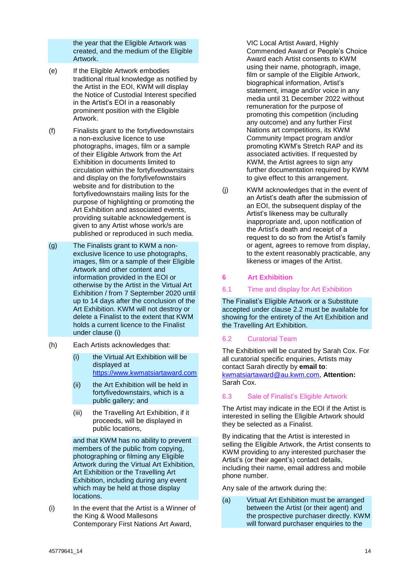the year that the Eligible Artwork was created, and the medium of the Eligible Artwork.

- (e) If the Eligible Artwork embodies traditional ritual knowledge as notified by the Artist in the EOI, KWM will display the Notice of Custodial Interest specified in the Artist's EOI in a reasonably prominent position with the Eligible Artwork.
- (f) Finalists grant to the fortyfivedownstairs a non-exclusive licence to use photographs, images, film or a sample of their Eligible Artwork from the Art Exhibition in documents limited to circulation within the fortyfivedownstairs and display on the fortyfivefownstairs website and for distribution to the fortyfivedownstairs mailing lists for the purpose of highlighting or promoting the Art Exhibition and associated events, providing suitable acknowledgement is given to any Artist whose work/s are published or reproduced in such media.
- (g) The Finalists grant to KWM a nonexclusive licence to use photographs, images, film or a sample of their Eligible Artwork and other content and information provided in the EOI or otherwise by the Artist in the Virtual Art Exhibition / from 7 September 2020 until up to 14 days after the conclusion of the Art Exhibition. KWM will not destroy or delete a Finalist to the extent that KWM holds a current licence to the Finalist under clause [\(i\)](#page-13-0)
- (h) Each Artists acknowledges that:
	- (i) the Virtual Art Exhibition will be displayed at [https://www.kwmatsiartaward.com](https://www.kwmatsiartaward.com/)
	- (ii) the Art Exhibition will be held in fortyfivedownstairs, which is a public gallery; and
	- (iii) the Travelling Art Exhibition, if it proceeds, will be displayed in public locations,

and that KWM has no ability to prevent members of the public from copying, photographing or filming any Eligible Artwork during the Virtual Art Exhibition, Art Exhibition or the Travelling Art Exhibition, including during any event which may be held at those display locations.

<span id="page-13-0"></span>(i) In the event that the Artist is a Winner of the King & Wood Mallesons Contemporary First Nations Art Award,

VIC Local Artist Award, Highly Commended Award or People's Choice Award each Artist consents to KWM using their name, photograph, image, film or sample of the Eligible Artwork, biographical information, Artist's statement, image and/or voice in any media until 31 December 2022 without remuneration for the purpose of promoting this competition (including any outcome) and any further First Nations art competitions, its KWM Community Impact program and/or promoting KWM's Stretch RAP and its associated activities. If requested by KWM, the Artist agrees to sign any further documentation required by KWM to give effect to this arrangement.

(j) KWM acknowledges that in the event of an Artist's death after the submission of an EOI, the subsequent display of the Artist's likeness may be culturally inappropriate and, upon notification of the Artist's death and receipt of a request to do so from the Artist's family or agent, agrees to remove from display, to the extent reasonably practicable, any likeness or images of the Artist.

# **6 Art Exhibition**

6.1 Time and display for Art Exhibition

The Finalist's Eligible Artwork or a Substitute accepted under clause [2.2](#page-8-2) must be available for showing for the entirety of the Art Exhibition and the Travelling Art Exhibition.

# 6.2 Curatorial Team

The Exhibition will be curated by Sarah Cox. For all curatorial specific enquiries, Artists may contact Sarah directly by **email to**: [kwmatsiartaward@au.kwm.com,](mailto:kwmatsiartaward@au.kwm.com) **Attention:**  Sarah Cox.

# 6.3 Sale of Finalist's Eligible Artwork

The Artist may indicate in the EOI if the Artist is interested in selling the Eligible Artwork should they be selected as a Finalist.

By indicating that the Artist is interested in selling the Eligible Artwork, the Artist consents to KWM providing to any interested purchaser the Artist's (or their agent's) contact details, including their name, email address and mobile phone number.

Any sale of the artwork during the:

(a) Virtual Art Exhibition must be arranged between the Artist (or their agent) and the prospective purchaser directly. KWM will forward purchaser enquiries to the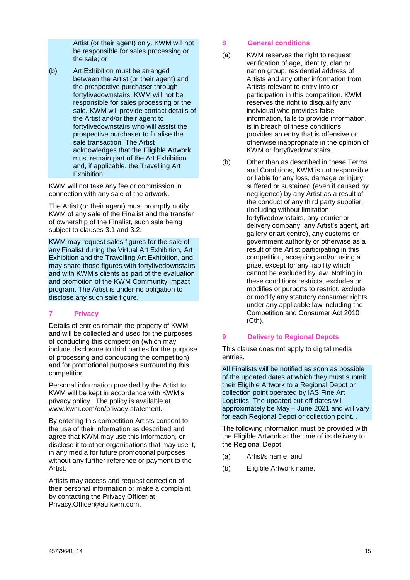Artist (or their agent) only. KWM will not be responsible for sales processing or the sale; or

(b) Art Exhibition must be arranged between the Artist (or their agent) and the prospective purchaser through fortyfivedownstairs. KWM will not be responsible for sales processing or the sale. KWM will provide contact details of the Artist and/or their agent to fortyfivedownstairs who will assist the prospective purchaser to finalise the sale transaction. The Artist acknowledges that the Eligible Artwork must remain part of the Art Exhibition and, if applicable, the Travelling Art Exhibition.

KWM will not take any fee or commission in connection with any sale of the artwork.

The Artist (or their agent) must promptly notify KWM of any sale of the Finalist and the transfer of ownership of the Finalist, such sale being subject to clauses [3.1](#page-9-1) and [3.2.](#page-10-0)

KWM may request sales figures for the sale of any Finalist during the Virtual Art Exhibition, Art Exhibition and the Travelling Art Exhibition, and may share those figures with fortyfivedownstairs and with KWM's clients as part of the evaluation and promotion of the KWM Community Impact program. The Artist is under no obligation to disclose any such sale figure.

# **7 Privacy**

Details of entries remain the property of KWM and will be collected and used for the purposes of conducting this competition (which may include disclosure to third parties for the purpose of processing and conducting the competition) and for promotional purposes surrounding this competition.

Personal information provided by the Artist to KWM will be kept in accordance with KWM's privacy policy. The policy is available at www.kwm.com/en/privacy-statement.

By entering this competition Artists consent to the use of their information as described and agree that KWM may use this information, or disclose it to other organisations that may use it, in any media for future promotional purposes without any further reference or payment to the Artist.

Artists may access and request correction of their personal information or make a complaint by contacting the Privacy Officer at Privacy.Officer@au.kwm.com.

# **8 General conditions**

- (a) KWM reserves the right to request verification of age, identity, clan or nation group, residential address of Artists and any other information from Artists relevant to entry into or participation in this competition. KWM reserves the right to disqualify any individual who provides false information, fails to provide information, is in breach of these conditions, provides an entry that is offensive or otherwise inappropriate in the opinion of KWM or fortyfivedownstairs.
- (b) Other than as described in these Terms and Conditions, KWM is not responsible or liable for any loss, damage or injury suffered or sustained (even if caused by negligence) by any Artist as a result of the conduct of any third party supplier, (including without limitation fortyfivedownstairs, any courier or delivery company, any Artist's agent, art gallery or art centre), any customs or government authority or otherwise as a result of the Artist participating in this competition, accepting and/or using a prize, except for any liability which cannot be excluded by law. Nothing in these conditions restricts, excludes or modifies or purports to restrict, exclude or modify any statutory consumer rights under any applicable law including the Competition and Consumer Act 2010 (Cth).

# <span id="page-14-0"></span>**9 Delivery to Regional Depots**

This clause does not apply to digital media entries.

All Finalists will be notified as soon as possible of the updated dates at which they must submit their Eligible Artwork to a Regional Depot or collection point operated by IAS Fine Art Logistics. The updated cut-off dates will approximately be May – June 2021 and will vary for each Regional Depot or collection point. .

The following information must be provided with the Eligible Artwork at the time of its delivery to the Regional Depot:

- (a) Artist/s name; and
- (b) Eligible Artwork name.